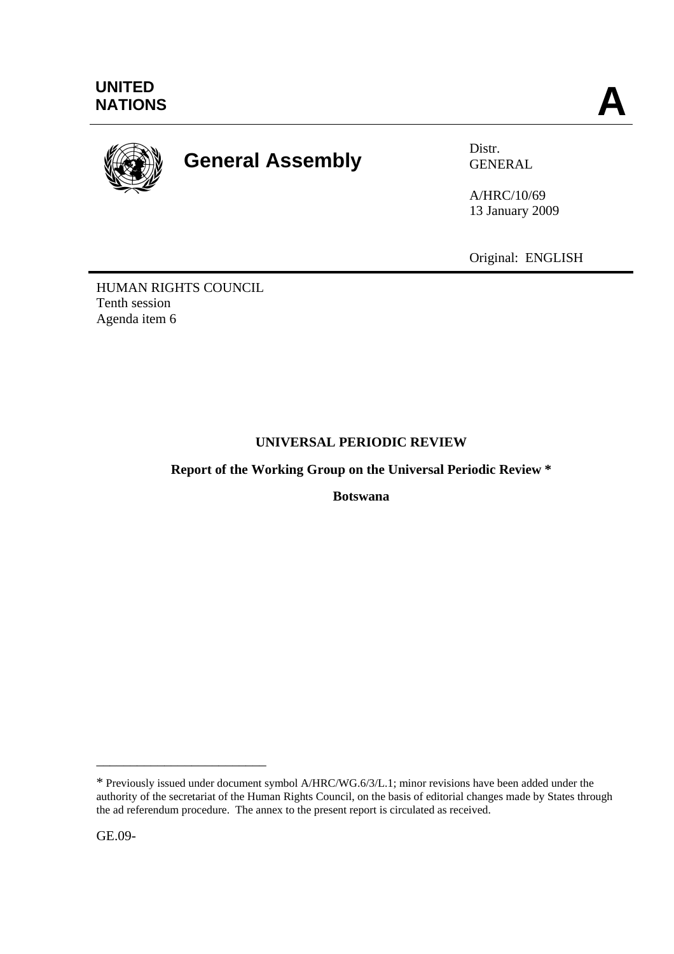

# **General Assembly** Distr.

GENERAL

A/HRC/10/69 13 January 2009

Original: ENGLISH

HUMAN RIGHTS COUNCIL Tenth session Agenda item 6

# **UNIVERSAL PERIODIC REVIEW**

**Report of the Working Group on the Universal Periodic Review \*** 

**Botswana** 

GE.09-

\_\_\_\_\_\_\_\_\_\_\_\_\_\_\_\_\_\_\_\_\_\_\_\_\_

<sup>\*</sup> Previously issued under document symbol A/HRC/WG.6/3/L.1; minor revisions have been added under the authority of the secretariat of the Human Rights Council, on the basis of editorial changes made by States through the ad referendum procedure. The annex to the present report is circulated as received.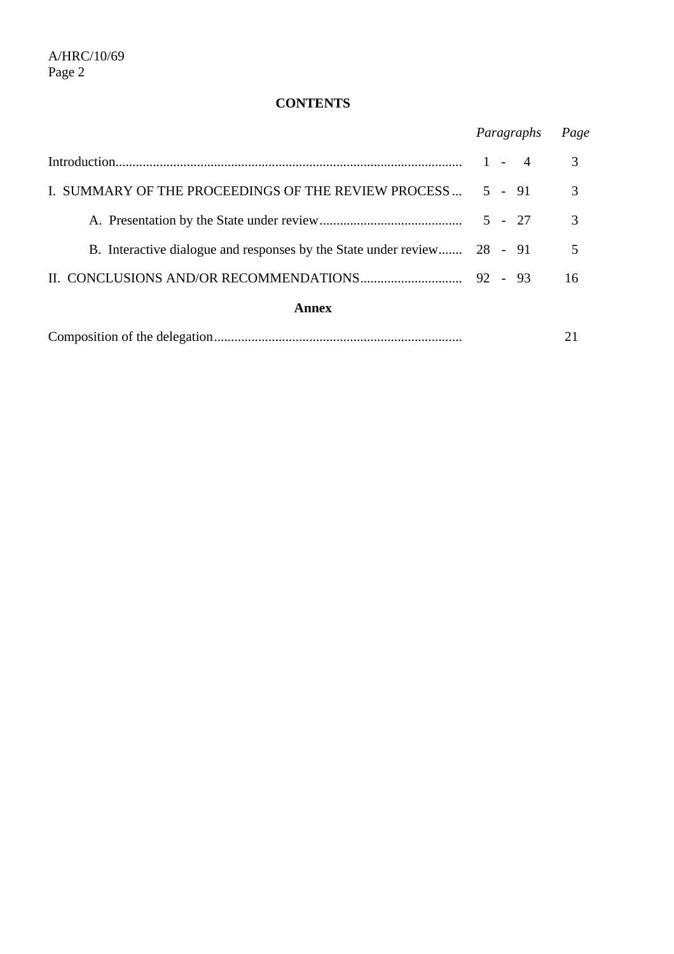# **CONTENTS**

|                                                                         | Paragraphs | Page |
|-------------------------------------------------------------------------|------------|------|
|                                                                         | $1 - 4$    | 3    |
| I. SUMMARY OF THE PROCEEDINGS OF THE REVIEW PROCESS                     | $5 - 91$   | 3    |
|                                                                         | $5 - 27$   | 3    |
| B. Interactive dialogue and responses by the State under review 28 - 91 |            | 5    |
|                                                                         |            | 16   |
| Annex                                                                   |            |      |
|                                                                         |            |      |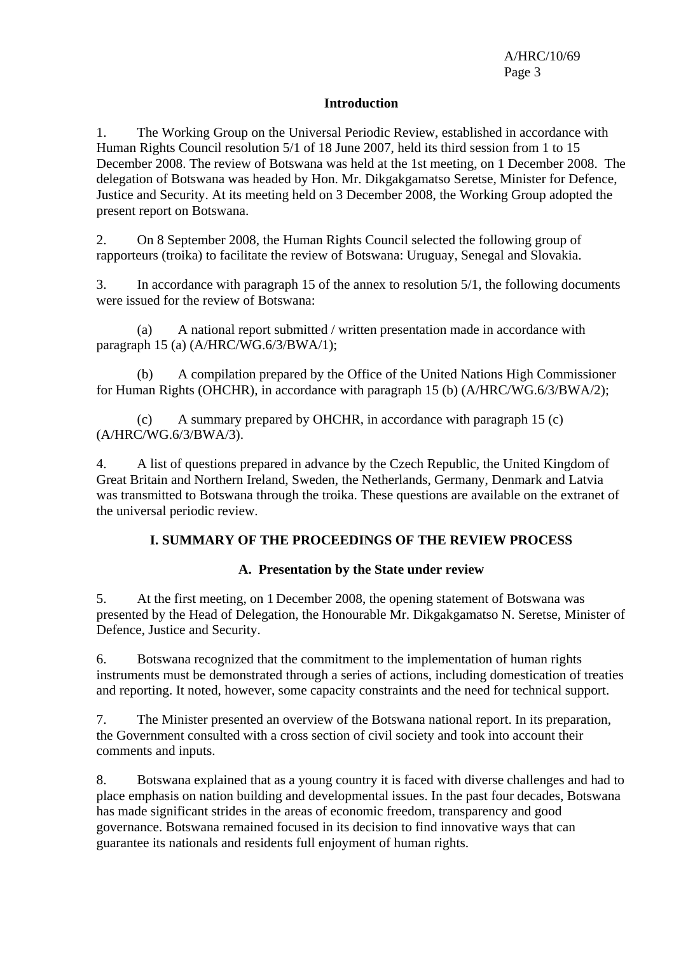#### **Introduction**

1. The Working Group on the Universal Periodic Review, established in accordance with Human Rights Council resolution 5/1 of 18 June 2007, held its third session from 1 to 15 December 2008. The review of Botswana was held at the 1st meeting, on 1 December 2008. The delegation of Botswana was headed by Hon. Mr. Dikgakgamatso Seretse, Minister for Defence, Justice and Security. At its meeting held on 3 December 2008, the Working Group adopted the present report on Botswana.

2. On 8 September 2008, the Human Rights Council selected the following group of rapporteurs (troika) to facilitate the review of Botswana: Uruguay, Senegal and Slovakia.

3. In accordance with paragraph 15 of the annex to resolution 5/1, the following documents were issued for the review of Botswana:

 (a) A national report submitted / written presentation made in accordance with paragraph 15 (a) (A/HRC/WG.6/3/BWA/1);

 (b) A compilation prepared by the Office of the United Nations High Commissioner for Human Rights (OHCHR), in accordance with paragraph 15 (b) (A/HRC/WG.6/3/BWA/2);

 (c) A summary prepared by OHCHR, in accordance with paragraph 15 (c) (A/HRC/WG.6/3/BWA/3).

4. A list of questions prepared in advance by the Czech Republic, the United Kingdom of Great Britain and Northern Ireland, Sweden, the Netherlands, Germany, Denmark and Latvia was transmitted to Botswana through the troika. These questions are available on the extranet of the universal periodic review.

#### **I. SUMMARY OF THE PROCEEDINGS OF THE REVIEW PROCESS**

#### **A. Presentation by the State under review**

5. At the first meeting, on 1 December 2008, the opening statement of Botswana was presented by the Head of Delegation, the Honourable Mr. Dikgakgamatso N. Seretse, Minister of Defence, Justice and Security.

6. Botswana recognized that the commitment to the implementation of human rights instruments must be demonstrated through a series of actions, including domestication of treaties and reporting. It noted, however, some capacity constraints and the need for technical support.

7. The Minister presented an overview of the Botswana national report. In its preparation, the Government consulted with a cross section of civil society and took into account their comments and inputs.

8. Botswana explained that as a young country it is faced with diverse challenges and had to place emphasis on nation building and developmental issues. In the past four decades, Botswana has made significant strides in the areas of economic freedom, transparency and good governance. Botswana remained focused in its decision to find innovative ways that can guarantee its nationals and residents full enjoyment of human rights.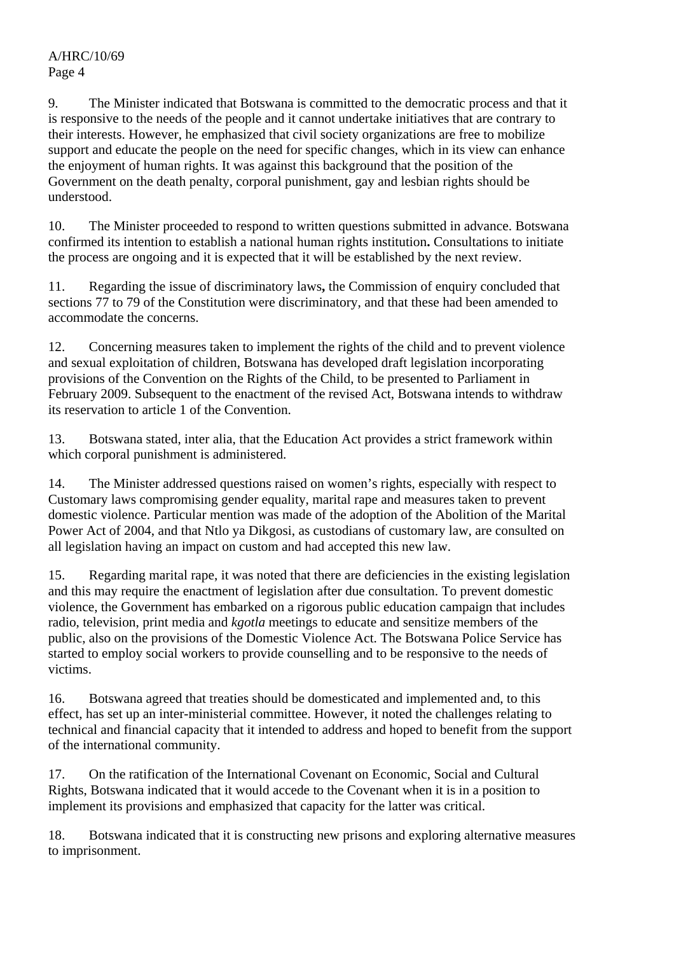9. The Minister indicated that Botswana is committed to the democratic process and that it is responsive to the needs of the people and it cannot undertake initiatives that are contrary to their interests. However, he emphasized that civil society organizations are free to mobilize support and educate the people on the need for specific changes, which in its view can enhance the enjoyment of human rights. It was against this background that the position of the Government on the death penalty, corporal punishment, gay and lesbian rights should be understood.

10. The Minister proceeded to respond to written questions submitted in advance. Botswana confirmed its intention to establish a national human rights institution**.** Consultations to initiate the process are ongoing and it is expected that it will be established by the next review.

11. Regarding the issue of discriminatory laws**,** the Commission of enquiry concluded that sections 77 to 79 of the Constitution were discriminatory, and that these had been amended to accommodate the concerns.

12. Concerning measures taken to implement the rights of the child and to prevent violence and sexual exploitation of children, Botswana has developed draft legislation incorporating provisions of the Convention on the Rights of the Child, to be presented to Parliament in February 2009. Subsequent to the enactment of the revised Act, Botswana intends to withdraw its reservation to article 1 of the Convention.

13. Botswana stated, inter alia, that the Education Act provides a strict framework within which corporal punishment is administered.

14. The Minister addressed questions raised on women's rights, especially with respect to Customary laws compromising gender equality, marital rape and measures taken to prevent domestic violence. Particular mention was made of the adoption of the Abolition of the Marital Power Act of 2004, and that Ntlo ya Dikgosi, as custodians of customary law, are consulted on all legislation having an impact on custom and had accepted this new law.

15. Regarding marital rape, it was noted that there are deficiencies in the existing legislation and this may require the enactment of legislation after due consultation. To prevent domestic violence, the Government has embarked on a rigorous public education campaign that includes radio, television, print media and *kgotla* meetings to educate and sensitize members of the public, also on the provisions of the Domestic Violence Act. The Botswana Police Service has started to employ social workers to provide counselling and to be responsive to the needs of victims.

16. Botswana agreed that treaties should be domesticated and implemented and, to this effect, has set up an inter-ministerial committee. However, it noted the challenges relating to technical and financial capacity that it intended to address and hoped to benefit from the support of the international community.

17. On the ratification of the International Covenant on Economic, Social and Cultural Rights, Botswana indicated that it would accede to the Covenant when it is in a position to implement its provisions and emphasized that capacity for the latter was critical.

18. Botswana indicated that it is constructing new prisons and exploring alternative measures to imprisonment.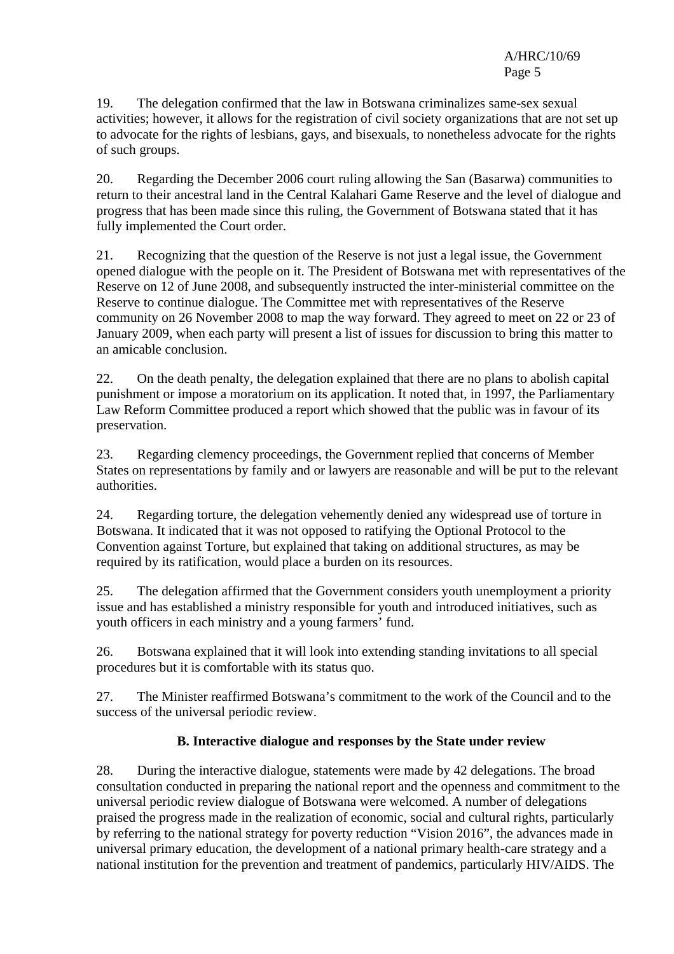19. The delegation confirmed that the law in Botswana criminalizes same-sex sexual activities; however, it allows for the registration of civil society organizations that are not set up to advocate for the rights of lesbians, gays, and bisexuals, to nonetheless advocate for the rights of such groups.

20. Regarding the December 2006 court ruling allowing the San (Basarwa) communities to return to their ancestral land in the Central Kalahari Game Reserve and the level of dialogue and progress that has been made since this ruling, the Government of Botswana stated that it has fully implemented the Court order.

21. Recognizing that the question of the Reserve is not just a legal issue, the Government opened dialogue with the people on it. The President of Botswana met with representatives of the Reserve on 12 of June 2008, and subsequently instructed the inter-ministerial committee on the Reserve to continue dialogue. The Committee met with representatives of the Reserve community on 26 November 2008 to map the way forward. They agreed to meet on 22 or 23 of January 2009, when each party will present a list of issues for discussion to bring this matter to an amicable conclusion.

22. On the death penalty, the delegation explained that there are no plans to abolish capital punishment or impose a moratorium on its application. It noted that, in 1997, the Parliamentary Law Reform Committee produced a report which showed that the public was in favour of its preservation.

23. Regarding clemency proceedings, the Government replied that concerns of Member States on representations by family and or lawyers are reasonable and will be put to the relevant authorities.

24. Regarding torture, the delegation vehemently denied any widespread use of torture in Botswana. It indicated that it was not opposed to ratifying the Optional Protocol to the Convention against Torture, but explained that taking on additional structures, as may be required by its ratification, would place a burden on its resources.

25. The delegation affirmed that the Government considers youth unemployment a priority issue and has established a ministry responsible for youth and introduced initiatives, such as youth officers in each ministry and a young farmers' fund.

26. Botswana explained that it will look into extending standing invitations to all special procedures but it is comfortable with its status quo.

27. The Minister reaffirmed Botswana's commitment to the work of the Council and to the success of the universal periodic review.

# **B. Interactive dialogue and responses by the State under review**

28. During the interactive dialogue, statements were made by 42 delegations. The broad consultation conducted in preparing the national report and the openness and commitment to the universal periodic review dialogue of Botswana were welcomed. A number of delegations praised the progress made in the realization of economic, social and cultural rights, particularly by referring to the national strategy for poverty reduction "Vision 2016", the advances made in universal primary education, the development of a national primary health-care strategy and a national institution for the prevention and treatment of pandemics, particularly HIV/AIDS. The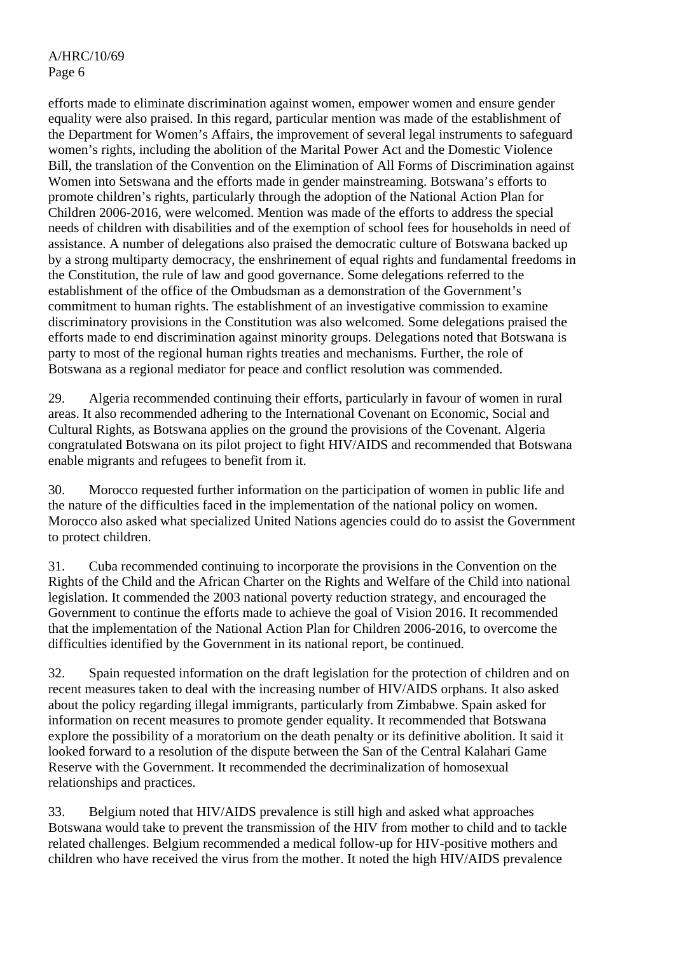efforts made to eliminate discrimination against women, empower women and ensure gender equality were also praised. In this regard, particular mention was made of the establishment of the Department for Women's Affairs, the improvement of several legal instruments to safeguard women's rights, including the abolition of the Marital Power Act and the Domestic Violence Bill, the translation of the Convention on the Elimination of All Forms of Discrimination against Women into Setswana and the efforts made in gender mainstreaming. Botswana's efforts to promote children's rights, particularly through the adoption of the National Action Plan for Children 2006-2016, were welcomed. Mention was made of the efforts to address the special needs of children with disabilities and of the exemption of school fees for households in need of assistance. A number of delegations also praised the democratic culture of Botswana backed up by a strong multiparty democracy, the enshrinement of equal rights and fundamental freedoms in the Constitution, the rule of law and good governance. Some delegations referred to the establishment of the office of the Ombudsman as a demonstration of the Government's commitment to human rights. The establishment of an investigative commission to examine discriminatory provisions in the Constitution was also welcomed. Some delegations praised the efforts made to end discrimination against minority groups. Delegations noted that Botswana is party to most of the regional human rights treaties and mechanisms. Further, the role of Botswana as a regional mediator for peace and conflict resolution was commended.

29. Algeria recommended continuing their efforts, particularly in favour of women in rural areas. It also recommended adhering to the International Covenant on Economic, Social and Cultural Rights, as Botswana applies on the ground the provisions of the Covenant. Algeria congratulated Botswana on its pilot project to fight HIV/AIDS and recommended that Botswana enable migrants and refugees to benefit from it.

30. Morocco requested further information on the participation of women in public life and the nature of the difficulties faced in the implementation of the national policy on women. Morocco also asked what specialized United Nations agencies could do to assist the Government to protect children.

31. Cuba recommended continuing to incorporate the provisions in the Convention on the Rights of the Child and the African Charter on the Rights and Welfare of the Child into national legislation. It commended the 2003 national poverty reduction strategy, and encouraged the Government to continue the efforts made to achieve the goal of Vision 2016. It recommended that the implementation of the National Action Plan for Children 2006-2016, to overcome the difficulties identified by the Government in its national report, be continued.

32. Spain requested information on the draft legislation for the protection of children and on recent measures taken to deal with the increasing number of HIV/AIDS orphans. It also asked about the policy regarding illegal immigrants, particularly from Zimbabwe. Spain asked for information on recent measures to promote gender equality. It recommended that Botswana explore the possibility of a moratorium on the death penalty or its definitive abolition. It said it looked forward to a resolution of the dispute between the San of the Central Kalahari Game Reserve with the Government. It recommended the decriminalization of homosexual relationships and practices.

33. Belgium noted that HIV/AIDS prevalence is still high and asked what approaches Botswana would take to prevent the transmission of the HIV from mother to child and to tackle related challenges. Belgium recommended a medical follow-up for HIV-positive mothers and children who have received the virus from the mother. It noted the high HIV/AIDS prevalence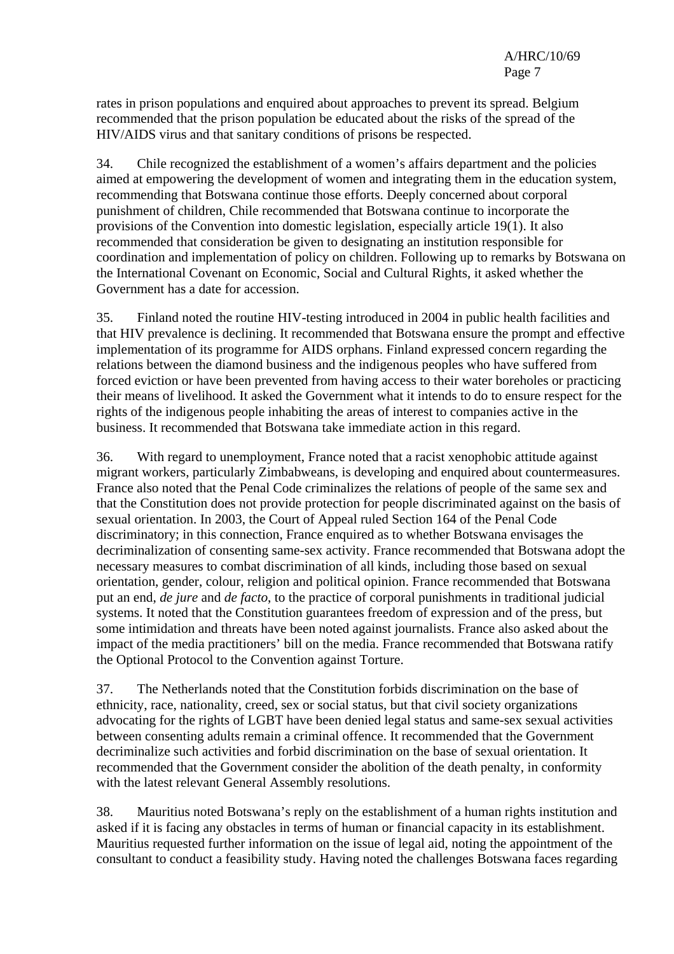rates in prison populations and enquired about approaches to prevent its spread. Belgium recommended that the prison population be educated about the risks of the spread of the HIV/AIDS virus and that sanitary conditions of prisons be respected.

34. Chile recognized the establishment of a women's affairs department and the policies aimed at empowering the development of women and integrating them in the education system, recommending that Botswana continue those efforts. Deeply concerned about corporal punishment of children, Chile recommended that Botswana continue to incorporate the provisions of the Convention into domestic legislation, especially article 19(1). It also recommended that consideration be given to designating an institution responsible for coordination and implementation of policy on children. Following up to remarks by Botswana on the International Covenant on Economic, Social and Cultural Rights, it asked whether the Government has a date for accession.

35. Finland noted the routine HIV-testing introduced in 2004 in public health facilities and that HIV prevalence is declining. It recommended that Botswana ensure the prompt and effective implementation of its programme for AIDS orphans. Finland expressed concern regarding the relations between the diamond business and the indigenous peoples who have suffered from forced eviction or have been prevented from having access to their water boreholes or practicing their means of livelihood. It asked the Government what it intends to do to ensure respect for the rights of the indigenous people inhabiting the areas of interest to companies active in the business. It recommended that Botswana take immediate action in this regard.

36. With regard to unemployment, France noted that a racist xenophobic attitude against migrant workers, particularly Zimbabweans, is developing and enquired about countermeasures. France also noted that the Penal Code criminalizes the relations of people of the same sex and that the Constitution does not provide protection for people discriminated against on the basis of sexual orientation. In 2003, the Court of Appeal ruled Section 164 of the Penal Code discriminatory; in this connection, France enquired as to whether Botswana envisages the decriminalization of consenting same-sex activity. France recommended that Botswana adopt the necessary measures to combat discrimination of all kinds, including those based on sexual orientation, gender, colour, religion and political opinion. France recommended that Botswana put an end, *de jure* and *de facto*, to the practice of corporal punishments in traditional judicial systems. It noted that the Constitution guarantees freedom of expression and of the press, but some intimidation and threats have been noted against journalists. France also asked about the impact of the media practitioners' bill on the media. France recommended that Botswana ratify the Optional Protocol to the Convention against Torture.

37. The Netherlands noted that the Constitution forbids discrimination on the base of ethnicity, race, nationality, creed, sex or social status, but that civil society organizations advocating for the rights of LGBT have been denied legal status and same-sex sexual activities between consenting adults remain a criminal offence. It recommended that the Government decriminalize such activities and forbid discrimination on the base of sexual orientation. It recommended that the Government consider the abolition of the death penalty, in conformity with the latest relevant General Assembly resolutions.

38. Mauritius noted Botswana's reply on the establishment of a human rights institution and asked if it is facing any obstacles in terms of human or financial capacity in its establishment. Mauritius requested further information on the issue of legal aid, noting the appointment of the consultant to conduct a feasibility study. Having noted the challenges Botswana faces regarding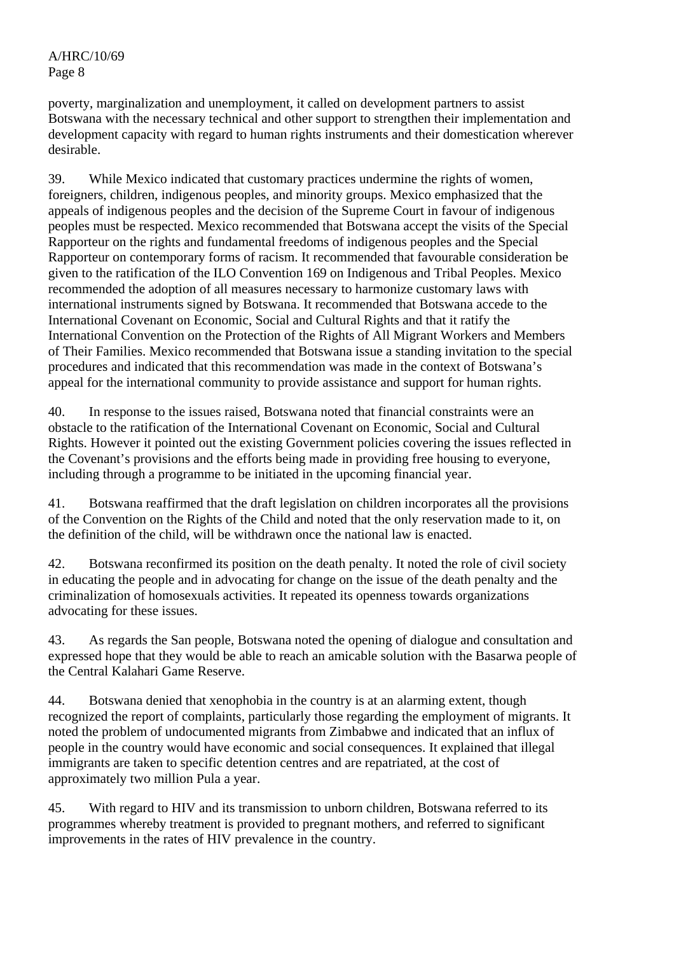poverty, marginalization and unemployment, it called on development partners to assist Botswana with the necessary technical and other support to strengthen their implementation and development capacity with regard to human rights instruments and their domestication wherever desirable.

39. While Mexico indicated that customary practices undermine the rights of women, foreigners, children, indigenous peoples, and minority groups. Mexico emphasized that the appeals of indigenous peoples and the decision of the Supreme Court in favour of indigenous peoples must be respected. Mexico recommended that Botswana accept the visits of the Special Rapporteur on the rights and fundamental freedoms of indigenous peoples and the Special Rapporteur on contemporary forms of racism. It recommended that favourable consideration be given to the ratification of the ILO Convention 169 on Indigenous and Tribal Peoples. Mexico recommended the adoption of all measures necessary to harmonize customary laws with international instruments signed by Botswana. It recommended that Botswana accede to the International Covenant on Economic, Social and Cultural Rights and that it ratify the International Convention on the Protection of the Rights of All Migrant Workers and Members of Their Families. Mexico recommended that Botswana issue a standing invitation to the special procedures and indicated that this recommendation was made in the context of Botswana's appeal for the international community to provide assistance and support for human rights.

40. In response to the issues raised, Botswana noted that financial constraints were an obstacle to the ratification of the International Covenant on Economic, Social and Cultural Rights. However it pointed out the existing Government policies covering the issues reflected in the Covenant's provisions and the efforts being made in providing free housing to everyone, including through a programme to be initiated in the upcoming financial year.

41. Botswana reaffirmed that the draft legislation on children incorporates all the provisions of the Convention on the Rights of the Child and noted that the only reservation made to it, on the definition of the child, will be withdrawn once the national law is enacted.

42. Botswana reconfirmed its position on the death penalty. It noted the role of civil society in educating the people and in advocating for change on the issue of the death penalty and the criminalization of homosexuals activities. It repeated its openness towards organizations advocating for these issues.

43. As regards the San people, Botswana noted the opening of dialogue and consultation and expressed hope that they would be able to reach an amicable solution with the Basarwa people of the Central Kalahari Game Reserve.

44. Botswana denied that xenophobia in the country is at an alarming extent, though recognized the report of complaints, particularly those regarding the employment of migrants. It noted the problem of undocumented migrants from Zimbabwe and indicated that an influx of people in the country would have economic and social consequences. It explained that illegal immigrants are taken to specific detention centres and are repatriated, at the cost of approximately two million Pula a year.

45. With regard to HIV and its transmission to unborn children, Botswana referred to its programmes whereby treatment is provided to pregnant mothers, and referred to significant improvements in the rates of HIV prevalence in the country.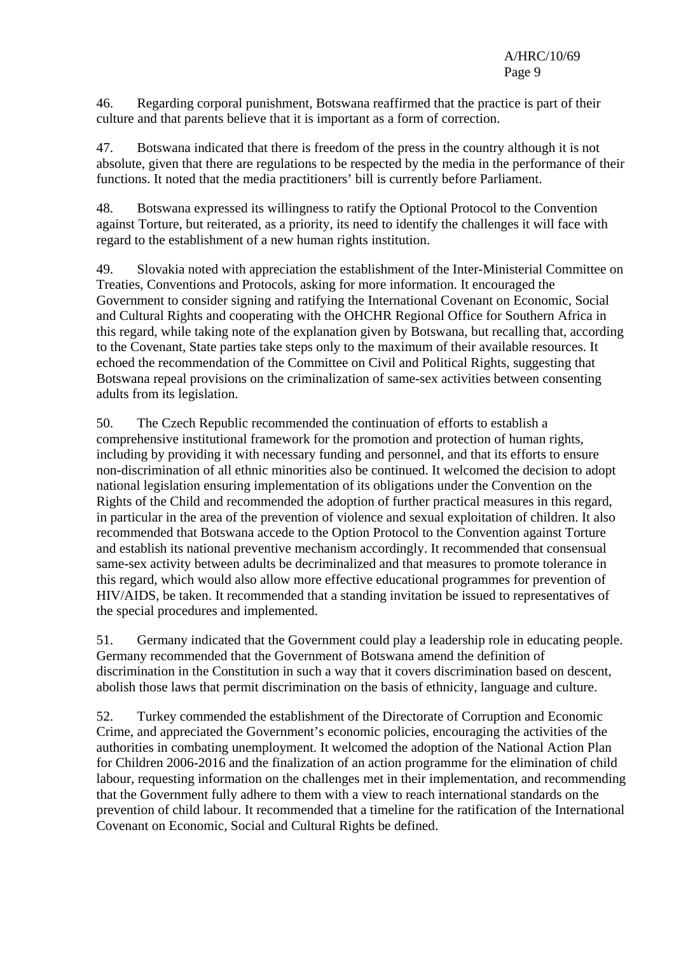46. Regarding corporal punishment, Botswana reaffirmed that the practice is part of their culture and that parents believe that it is important as a form of correction.

47. Botswana indicated that there is freedom of the press in the country although it is not absolute, given that there are regulations to be respected by the media in the performance of their functions. It noted that the media practitioners' bill is currently before Parliament.

48. Botswana expressed its willingness to ratify the Optional Protocol to the Convention against Torture, but reiterated, as a priority, its need to identify the challenges it will face with regard to the establishment of a new human rights institution.

49. Slovakia noted with appreciation the establishment of the Inter-Ministerial Committee on Treaties, Conventions and Protocols, asking for more information. It encouraged the Government to consider signing and ratifying the International Covenant on Economic, Social and Cultural Rights and cooperating with the OHCHR Regional Office for Southern Africa in this regard, while taking note of the explanation given by Botswana, but recalling that, according to the Covenant, State parties take steps only to the maximum of their available resources. It echoed the recommendation of the Committee on Civil and Political Rights, suggesting that Botswana repeal provisions on the criminalization of same-sex activities between consenting adults from its legislation.

50. The Czech Republic recommended the continuation of efforts to establish a comprehensive institutional framework for the promotion and protection of human rights, including by providing it with necessary funding and personnel, and that its efforts to ensure non-discrimination of all ethnic minorities also be continued. It welcomed the decision to adopt national legislation ensuring implementation of its obligations under the Convention on the Rights of the Child and recommended the adoption of further practical measures in this regard, in particular in the area of the prevention of violence and sexual exploitation of children. It also recommended that Botswana accede to the Option Protocol to the Convention against Torture and establish its national preventive mechanism accordingly. It recommended that consensual same-sex activity between adults be decriminalized and that measures to promote tolerance in this regard, which would also allow more effective educational programmes for prevention of HIV/AIDS, be taken. It recommended that a standing invitation be issued to representatives of the special procedures and implemented.

51. Germany indicated that the Government could play a leadership role in educating people. Germany recommended that the Government of Botswana amend the definition of discrimination in the Constitution in such a way that it covers discrimination based on descent, abolish those laws that permit discrimination on the basis of ethnicity, language and culture.

52. Turkey commended the establishment of the Directorate of Corruption and Economic Crime, and appreciated the Government's economic policies, encouraging the activities of the authorities in combating unemployment. It welcomed the adoption of the National Action Plan for Children 2006-2016 and the finalization of an action programme for the elimination of child labour, requesting information on the challenges met in their implementation, and recommending that the Government fully adhere to them with a view to reach international standards on the prevention of child labour. It recommended that a timeline for the ratification of the International Covenant on Economic, Social and Cultural Rights be defined.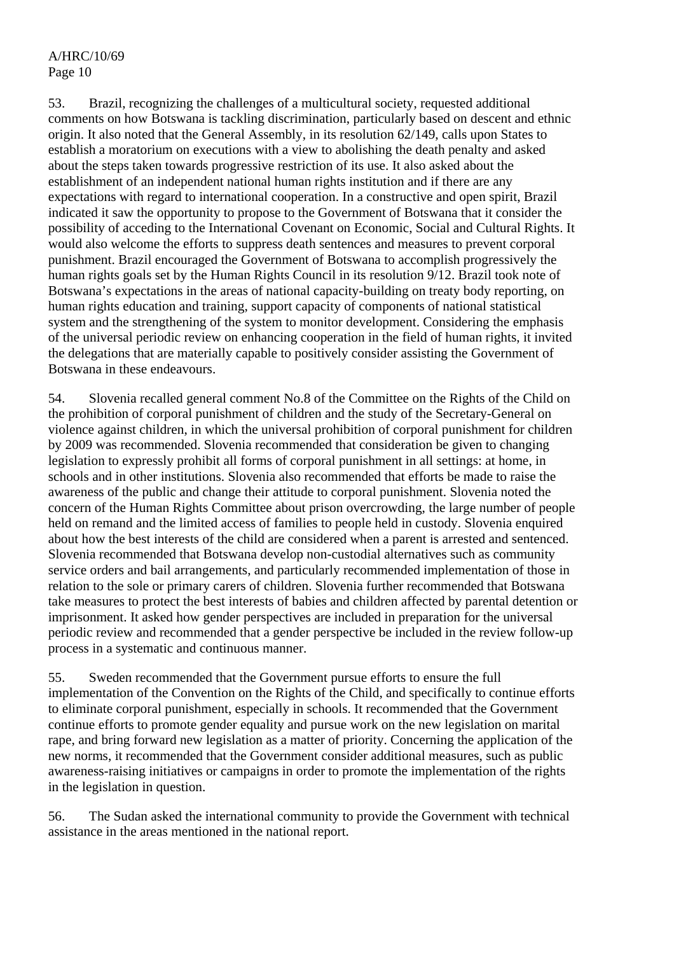53. Brazil, recognizing the challenges of a multicultural society, requested additional comments on how Botswana is tackling discrimination, particularly based on descent and ethnic origin. It also noted that the General Assembly, in its resolution 62/149, calls upon States to establish a moratorium on executions with a view to abolishing the death penalty and asked about the steps taken towards progressive restriction of its use. It also asked about the establishment of an independent national human rights institution and if there are any expectations with regard to international cooperation. In a constructive and open spirit, Brazil indicated it saw the opportunity to propose to the Government of Botswana that it consider the possibility of acceding to the International Covenant on Economic, Social and Cultural Rights. It would also welcome the efforts to suppress death sentences and measures to prevent corporal punishment. Brazil encouraged the Government of Botswana to accomplish progressively the human rights goals set by the Human Rights Council in its resolution 9/12. Brazil took note of Botswana's expectations in the areas of national capacity-building on treaty body reporting, on human rights education and training, support capacity of components of national statistical system and the strengthening of the system to monitor development. Considering the emphasis of the universal periodic review on enhancing cooperation in the field of human rights, it invited the delegations that are materially capable to positively consider assisting the Government of Botswana in these endeavours.

54. Slovenia recalled general comment No.8 of the Committee on the Rights of the Child on the prohibition of corporal punishment of children and the study of the Secretary-General on violence against children, in which the universal prohibition of corporal punishment for children by 2009 was recommended. Slovenia recommended that consideration be given to changing legislation to expressly prohibit all forms of corporal punishment in all settings: at home, in schools and in other institutions. Slovenia also recommended that efforts be made to raise the awareness of the public and change their attitude to corporal punishment. Slovenia noted the concern of the Human Rights Committee about prison overcrowding, the large number of people held on remand and the limited access of families to people held in custody. Slovenia enquired about how the best interests of the child are considered when a parent is arrested and sentenced. Slovenia recommended that Botswana develop non-custodial alternatives such as community service orders and bail arrangements, and particularly recommended implementation of those in relation to the sole or primary carers of children. Slovenia further recommended that Botswana take measures to protect the best interests of babies and children affected by parental detention or imprisonment. It asked how gender perspectives are included in preparation for the universal periodic review and recommended that a gender perspective be included in the review follow-up process in a systematic and continuous manner.

55. Sweden recommended that the Government pursue efforts to ensure the full implementation of the Convention on the Rights of the Child, and specifically to continue efforts to eliminate corporal punishment, especially in schools. It recommended that the Government continue efforts to promote gender equality and pursue work on the new legislation on marital rape, and bring forward new legislation as a matter of priority. Concerning the application of the new norms, it recommended that the Government consider additional measures, such as public awareness-raising initiatives or campaigns in order to promote the implementation of the rights in the legislation in question.

56. The Sudan asked the international community to provide the Government with technical assistance in the areas mentioned in the national report.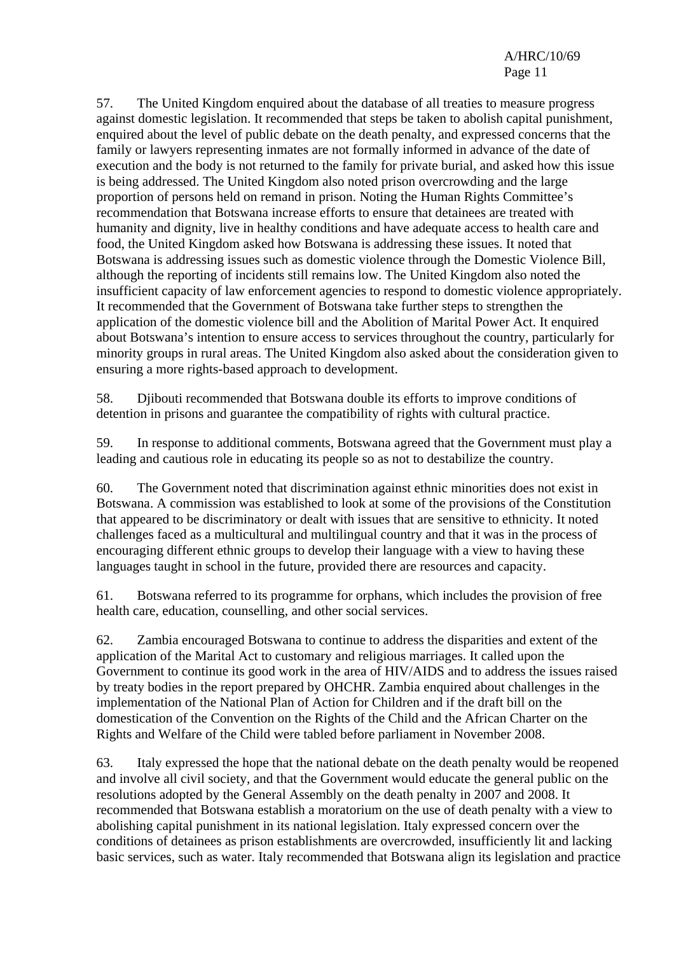57. The United Kingdom enquired about the database of all treaties to measure progress against domestic legislation. It recommended that steps be taken to abolish capital punishment, enquired about the level of public debate on the death penalty, and expressed concerns that the family or lawyers representing inmates are not formally informed in advance of the date of execution and the body is not returned to the family for private burial, and asked how this issue is being addressed. The United Kingdom also noted prison overcrowding and the large proportion of persons held on remand in prison. Noting the Human Rights Committee's recommendation that Botswana increase efforts to ensure that detainees are treated with humanity and dignity, live in healthy conditions and have adequate access to health care and food, the United Kingdom asked how Botswana is addressing these issues. It noted that Botswana is addressing issues such as domestic violence through the Domestic Violence Bill, although the reporting of incidents still remains low. The United Kingdom also noted the insufficient capacity of law enforcement agencies to respond to domestic violence appropriately. It recommended that the Government of Botswana take further steps to strengthen the application of the domestic violence bill and the Abolition of Marital Power Act. It enquired about Botswana's intention to ensure access to services throughout the country, particularly for minority groups in rural areas. The United Kingdom also asked about the consideration given to ensuring a more rights-based approach to development.

58. Djibouti recommended that Botswana double its efforts to improve conditions of detention in prisons and guarantee the compatibility of rights with cultural practice.

59. In response to additional comments, Botswana agreed that the Government must play a leading and cautious role in educating its people so as not to destabilize the country.

60. The Government noted that discrimination against ethnic minorities does not exist in Botswana. A commission was established to look at some of the provisions of the Constitution that appeared to be discriminatory or dealt with issues that are sensitive to ethnicity. It noted challenges faced as a multicultural and multilingual country and that it was in the process of encouraging different ethnic groups to develop their language with a view to having these languages taught in school in the future, provided there are resources and capacity.

61. Botswana referred to its programme for orphans, which includes the provision of free health care, education, counselling, and other social services.

62. Zambia encouraged Botswana to continue to address the disparities and extent of the application of the Marital Act to customary and religious marriages. It called upon the Government to continue its good work in the area of HIV/AIDS and to address the issues raised by treaty bodies in the report prepared by OHCHR. Zambia enquired about challenges in the implementation of the National Plan of Action for Children and if the draft bill on the domestication of the Convention on the Rights of the Child and the African Charter on the Rights and Welfare of the Child were tabled before parliament in November 2008.

63. Italy expressed the hope that the national debate on the death penalty would be reopened and involve all civil society, and that the Government would educate the general public on the resolutions adopted by the General Assembly on the death penalty in 2007 and 2008. It recommended that Botswana establish a moratorium on the use of death penalty with a view to abolishing capital punishment in its national legislation. Italy expressed concern over the conditions of detainees as prison establishments are overcrowded, insufficiently lit and lacking basic services, such as water. Italy recommended that Botswana align its legislation and practice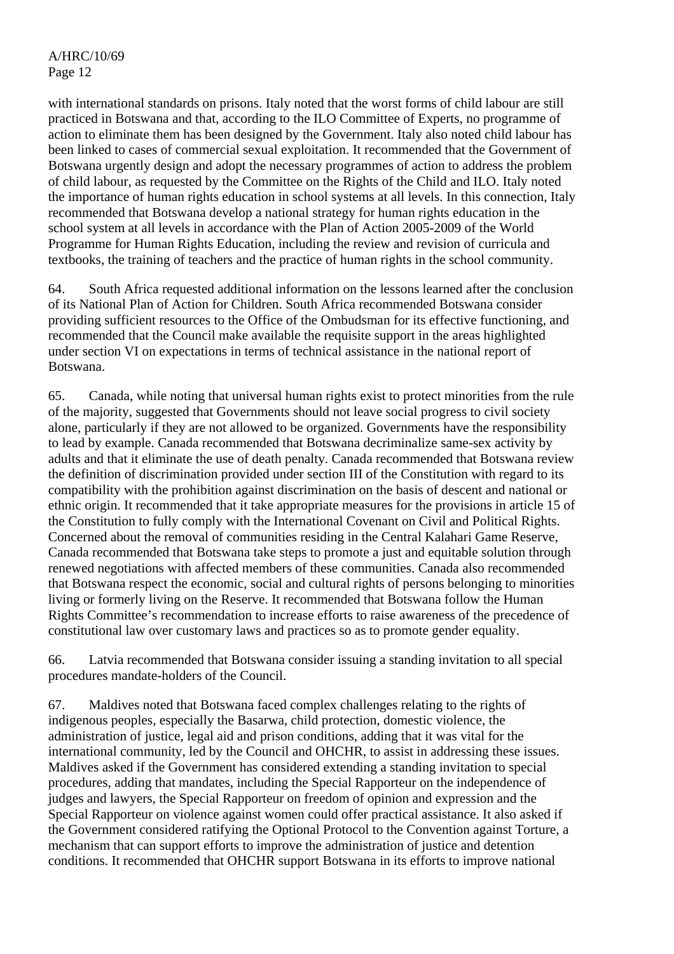with international standards on prisons. Italy noted that the worst forms of child labour are still practiced in Botswana and that, according to the ILO Committee of Experts, no programme of action to eliminate them has been designed by the Government. Italy also noted child labour has been linked to cases of commercial sexual exploitation. It recommended that the Government of Botswana urgently design and adopt the necessary programmes of action to address the problem of child labour, as requested by the Committee on the Rights of the Child and ILO. Italy noted the importance of human rights education in school systems at all levels. In this connection, Italy recommended that Botswana develop a national strategy for human rights education in the school system at all levels in accordance with the Plan of Action 2005-2009 of the World Programme for Human Rights Education, including the review and revision of curricula and textbooks, the training of teachers and the practice of human rights in the school community.

64. South Africa requested additional information on the lessons learned after the conclusion of its National Plan of Action for Children. South Africa recommended Botswana consider providing sufficient resources to the Office of the Ombudsman for its effective functioning, and recommended that the Council make available the requisite support in the areas highlighted under section VI on expectations in terms of technical assistance in the national report of Botswana.

65. Canada, while noting that universal human rights exist to protect minorities from the rule of the majority, suggested that Governments should not leave social progress to civil society alone, particularly if they are not allowed to be organized. Governments have the responsibility to lead by example. Canada recommended that Botswana decriminalize same-sex activity by adults and that it eliminate the use of death penalty. Canada recommended that Botswana review the definition of discrimination provided under section III of the Constitution with regard to its compatibility with the prohibition against discrimination on the basis of descent and national or ethnic origin. It recommended that it take appropriate measures for the provisions in article 15 of the Constitution to fully comply with the International Covenant on Civil and Political Rights. Concerned about the removal of communities residing in the Central Kalahari Game Reserve, Canada recommended that Botswana take steps to promote a just and equitable solution through renewed negotiations with affected members of these communities. Canada also recommended that Botswana respect the economic, social and cultural rights of persons belonging to minorities living or formerly living on the Reserve. It recommended that Botswana follow the Human Rights Committee's recommendation to increase efforts to raise awareness of the precedence of constitutional law over customary laws and practices so as to promote gender equality.

66. Latvia recommended that Botswana consider issuing a standing invitation to all special procedures mandate-holders of the Council.

67. Maldives noted that Botswana faced complex challenges relating to the rights of indigenous peoples, especially the Basarwa, child protection, domestic violence, the administration of justice, legal aid and prison conditions, adding that it was vital for the international community, led by the Council and OHCHR, to assist in addressing these issues. Maldives asked if the Government has considered extending a standing invitation to special procedures, adding that mandates, including the Special Rapporteur on the independence of judges and lawyers, the Special Rapporteur on freedom of opinion and expression and the Special Rapporteur on violence against women could offer practical assistance. It also asked if the Government considered ratifying the Optional Protocol to the Convention against Torture, a mechanism that can support efforts to improve the administration of justice and detention conditions. It recommended that OHCHR support Botswana in its efforts to improve national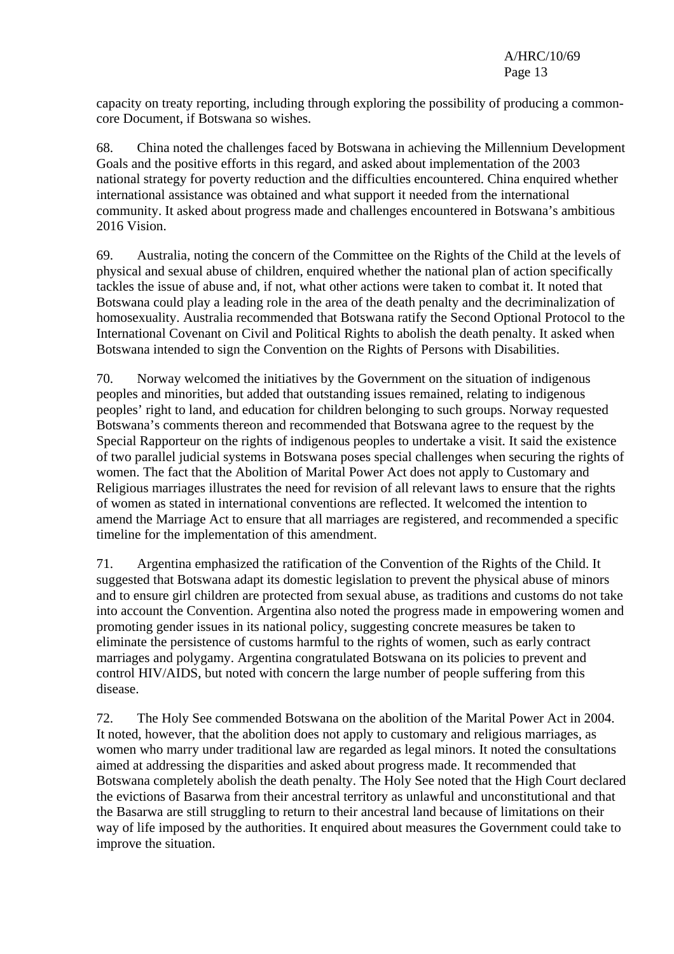capacity on treaty reporting, including through exploring the possibility of producing a commoncore Document, if Botswana so wishes.

68. China noted the challenges faced by Botswana in achieving the Millennium Development Goals and the positive efforts in this regard, and asked about implementation of the 2003 national strategy for poverty reduction and the difficulties encountered. China enquired whether international assistance was obtained and what support it needed from the international community. It asked about progress made and challenges encountered in Botswana's ambitious 2016 Vision.

69. Australia, noting the concern of the Committee on the Rights of the Child at the levels of physical and sexual abuse of children, enquired whether the national plan of action specifically tackles the issue of abuse and, if not, what other actions were taken to combat it. It noted that Botswana could play a leading role in the area of the death penalty and the decriminalization of homosexuality. Australia recommended that Botswana ratify the Second Optional Protocol to the International Covenant on Civil and Political Rights to abolish the death penalty. It asked when Botswana intended to sign the Convention on the Rights of Persons with Disabilities.

70. Norway welcomed the initiatives by the Government on the situation of indigenous peoples and minorities, but added that outstanding issues remained, relating to indigenous peoples' right to land, and education for children belonging to such groups. Norway requested Botswana's comments thereon and recommended that Botswana agree to the request by the Special Rapporteur on the rights of indigenous peoples to undertake a visit. It said the existence of two parallel judicial systems in Botswana poses special challenges when securing the rights of women. The fact that the Abolition of Marital Power Act does not apply to Customary and Religious marriages illustrates the need for revision of all relevant laws to ensure that the rights of women as stated in international conventions are reflected. It welcomed the intention to amend the Marriage Act to ensure that all marriages are registered, and recommended a specific timeline for the implementation of this amendment.

71. Argentina emphasized the ratification of the Convention of the Rights of the Child. It suggested that Botswana adapt its domestic legislation to prevent the physical abuse of minors and to ensure girl children are protected from sexual abuse, as traditions and customs do not take into account the Convention. Argentina also noted the progress made in empowering women and promoting gender issues in its national policy, suggesting concrete measures be taken to eliminate the persistence of customs harmful to the rights of women, such as early contract marriages and polygamy. Argentina congratulated Botswana on its policies to prevent and control HIV/AIDS, but noted with concern the large number of people suffering from this disease.

72. The Holy See commended Botswana on the abolition of the Marital Power Act in 2004. It noted, however, that the abolition does not apply to customary and religious marriages, as women who marry under traditional law are regarded as legal minors. It noted the consultations aimed at addressing the disparities and asked about progress made. It recommended that Botswana completely abolish the death penalty. The Holy See noted that the High Court declared the evictions of Basarwa from their ancestral territory as unlawful and unconstitutional and that the Basarwa are still struggling to return to their ancestral land because of limitations on their way of life imposed by the authorities. It enquired about measures the Government could take to improve the situation.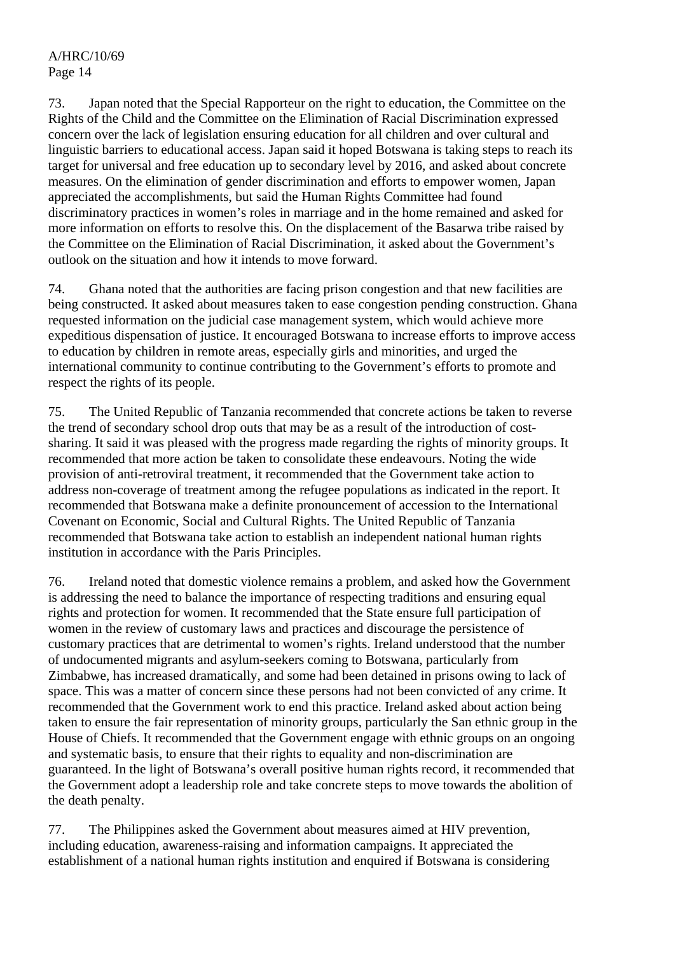73. Japan noted that the Special Rapporteur on the right to education, the Committee on the Rights of the Child and the Committee on the Elimination of Racial Discrimination expressed concern over the lack of legislation ensuring education for all children and over cultural and linguistic barriers to educational access. Japan said it hoped Botswana is taking steps to reach its target for universal and free education up to secondary level by 2016, and asked about concrete measures. On the elimination of gender discrimination and efforts to empower women, Japan appreciated the accomplishments, but said the Human Rights Committee had found discriminatory practices in women's roles in marriage and in the home remained and asked for more information on efforts to resolve this. On the displacement of the Basarwa tribe raised by the Committee on the Elimination of Racial Discrimination, it asked about the Government's outlook on the situation and how it intends to move forward.

74. Ghana noted that the authorities are facing prison congestion and that new facilities are being constructed. It asked about measures taken to ease congestion pending construction. Ghana requested information on the judicial case management system, which would achieve more expeditious dispensation of justice. It encouraged Botswana to increase efforts to improve access to education by children in remote areas, especially girls and minorities, and urged the international community to continue contributing to the Government's efforts to promote and respect the rights of its people.

75. The United Republic of Tanzania recommended that concrete actions be taken to reverse the trend of secondary school drop outs that may be as a result of the introduction of costsharing. It said it was pleased with the progress made regarding the rights of minority groups. It recommended that more action be taken to consolidate these endeavours. Noting the wide provision of anti-retroviral treatment, it recommended that the Government take action to address non-coverage of treatment among the refugee populations as indicated in the report. It recommended that Botswana make a definite pronouncement of accession to the International Covenant on Economic, Social and Cultural Rights. The United Republic of Tanzania recommended that Botswana take action to establish an independent national human rights institution in accordance with the Paris Principles.

76. Ireland noted that domestic violence remains a problem, and asked how the Government is addressing the need to balance the importance of respecting traditions and ensuring equal rights and protection for women. It recommended that the State ensure full participation of women in the review of customary laws and practices and discourage the persistence of customary practices that are detrimental to women's rights. Ireland understood that the number of undocumented migrants and asylum-seekers coming to Botswana, particularly from Zimbabwe, has increased dramatically, and some had been detained in prisons owing to lack of space. This was a matter of concern since these persons had not been convicted of any crime. It recommended that the Government work to end this practice. Ireland asked about action being taken to ensure the fair representation of minority groups, particularly the San ethnic group in the House of Chiefs. It recommended that the Government engage with ethnic groups on an ongoing and systematic basis, to ensure that their rights to equality and non-discrimination are guaranteed. In the light of Botswana's overall positive human rights record, it recommended that the Government adopt a leadership role and take concrete steps to move towards the abolition of the death penalty.

77. The Philippines asked the Government about measures aimed at HIV prevention, including education, awareness-raising and information campaigns. It appreciated the establishment of a national human rights institution and enquired if Botswana is considering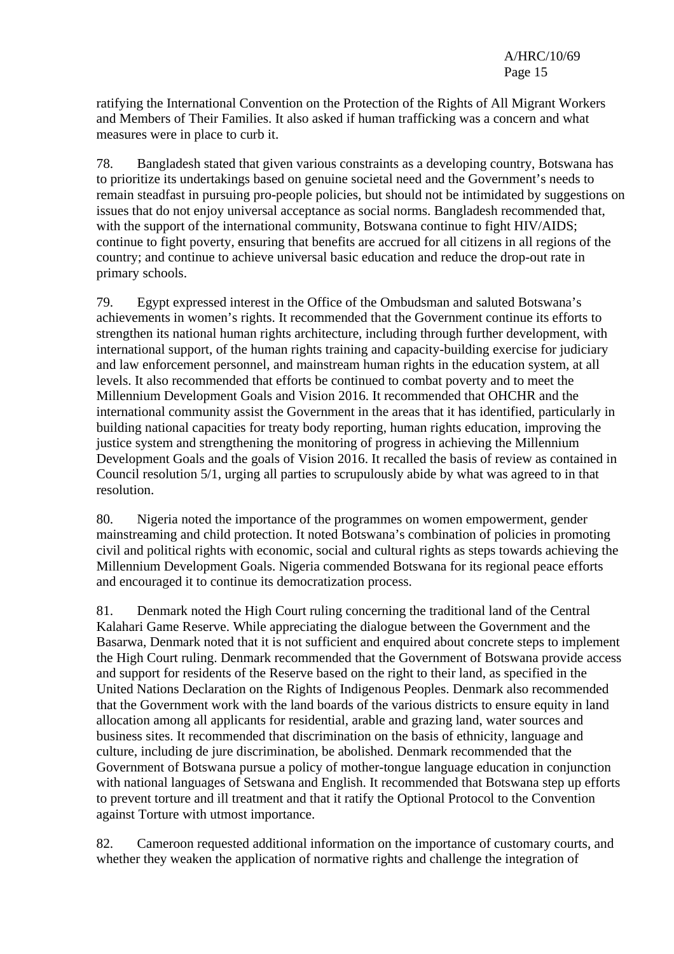ratifying the International Convention on the Protection of the Rights of All Migrant Workers and Members of Their Families. It also asked if human trafficking was a concern and what measures were in place to curb it.

78. Bangladesh stated that given various constraints as a developing country, Botswana has to prioritize its undertakings based on genuine societal need and the Government's needs to remain steadfast in pursuing pro-people policies, but should not be intimidated by suggestions on issues that do not enjoy universal acceptance as social norms. Bangladesh recommended that, with the support of the international community, Botswana continue to fight HIV/AIDS; continue to fight poverty, ensuring that benefits are accrued for all citizens in all regions of the country; and continue to achieve universal basic education and reduce the drop-out rate in primary schools.

79. Egypt expressed interest in the Office of the Ombudsman and saluted Botswana's achievements in women's rights. It recommended that the Government continue its efforts to strengthen its national human rights architecture, including through further development, with international support, of the human rights training and capacity-building exercise for judiciary and law enforcement personnel, and mainstream human rights in the education system, at all levels. It also recommended that efforts be continued to combat poverty and to meet the Millennium Development Goals and Vision 2016. It recommended that OHCHR and the international community assist the Government in the areas that it has identified, particularly in building national capacities for treaty body reporting, human rights education, improving the justice system and strengthening the monitoring of progress in achieving the Millennium Development Goals and the goals of Vision 2016. It recalled the basis of review as contained in Council resolution 5/1, urging all parties to scrupulously abide by what was agreed to in that resolution.

80. Nigeria noted the importance of the programmes on women empowerment, gender mainstreaming and child protection. It noted Botswana's combination of policies in promoting civil and political rights with economic, social and cultural rights as steps towards achieving the Millennium Development Goals. Nigeria commended Botswana for its regional peace efforts and encouraged it to continue its democratization process.

81. Denmark noted the High Court ruling concerning the traditional land of the Central Kalahari Game Reserve. While appreciating the dialogue between the Government and the Basarwa, Denmark noted that it is not sufficient and enquired about concrete steps to implement the High Court ruling. Denmark recommended that the Government of Botswana provide access and support for residents of the Reserve based on the right to their land, as specified in the United Nations Declaration on the Rights of Indigenous Peoples. Denmark also recommended that the Government work with the land boards of the various districts to ensure equity in land allocation among all applicants for residential, arable and grazing land, water sources and business sites. It recommended that discrimination on the basis of ethnicity, language and culture, including de jure discrimination, be abolished. Denmark recommended that the Government of Botswana pursue a policy of mother-tongue language education in conjunction with national languages of Setswana and English. It recommended that Botswana step up efforts to prevent torture and ill treatment and that it ratify the Optional Protocol to the Convention against Torture with utmost importance.

82. Cameroon requested additional information on the importance of customary courts, and whether they weaken the application of normative rights and challenge the integration of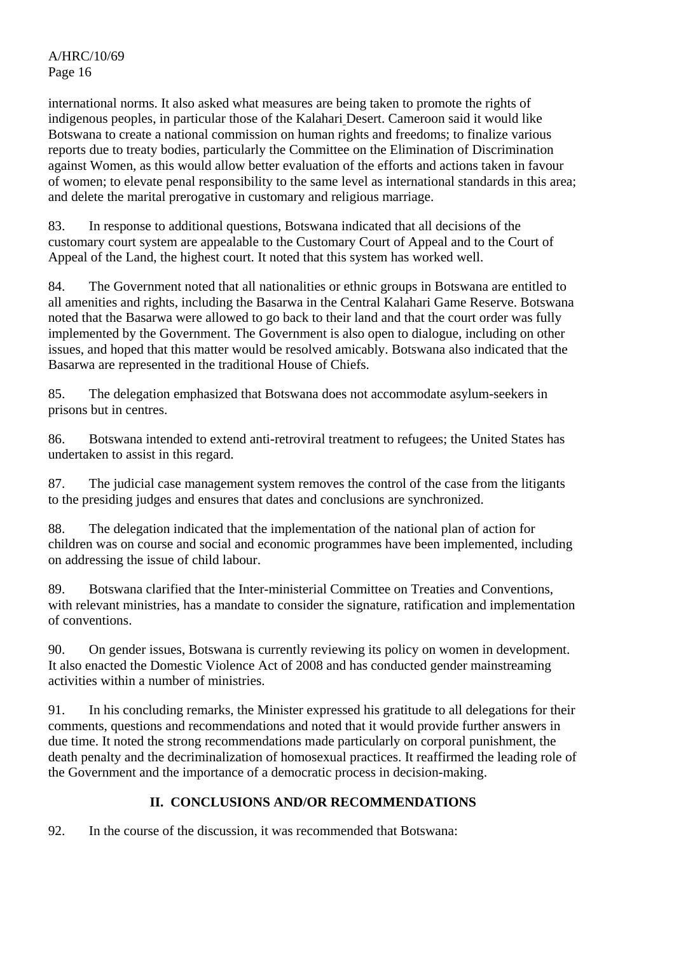international norms. It also asked what measures are being taken to promote the rights of indigenous peoples, in particular those of the Kalahari Desert. Cameroon said it would like Botswana to create a national commission on human rights and freedoms; to finalize various reports due to treaty bodies, particularly the Committee on the Elimination of Discrimination against Women, as this would allow better evaluation of the efforts and actions taken in favour of women; to elevate penal responsibility to the same level as international standards in this area; and delete the marital prerogative in customary and religious marriage.

83. In response to additional questions, Botswana indicated that all decisions of the customary court system are appealable to the Customary Court of Appeal and to the Court of Appeal of the Land, the highest court. It noted that this system has worked well.

84. The Government noted that all nationalities or ethnic groups in Botswana are entitled to all amenities and rights, including the Basarwa in the Central Kalahari Game Reserve. Botswana noted that the Basarwa were allowed to go back to their land and that the court order was fully implemented by the Government. The Government is also open to dialogue, including on other issues, and hoped that this matter would be resolved amicably. Botswana also indicated that the Basarwa are represented in the traditional House of Chiefs.

85. The delegation emphasized that Botswana does not accommodate asylum-seekers in prisons but in centres.

86. Botswana intended to extend anti-retroviral treatment to refugees; the United States has undertaken to assist in this regard.

87. The judicial case management system removes the control of the case from the litigants to the presiding judges and ensures that dates and conclusions are synchronized.

88. The delegation indicated that the implementation of the national plan of action for children was on course and social and economic programmes have been implemented, including on addressing the issue of child labour.

89. Botswana clarified that the Inter-ministerial Committee on Treaties and Conventions, with relevant ministries, has a mandate to consider the signature, ratification and implementation of conventions.

90. On gender issues, Botswana is currently reviewing its policy on women in development. It also enacted the Domestic Violence Act of 2008 and has conducted gender mainstreaming activities within a number of ministries.

91. In his concluding remarks, the Minister expressed his gratitude to all delegations for their comments, questions and recommendations and noted that it would provide further answers in due time. It noted the strong recommendations made particularly on corporal punishment, the death penalty and the decriminalization of homosexual practices. It reaffirmed the leading role of the Government and the importance of a democratic process in decision-making.

# **II. CONCLUSIONS AND/OR RECOMMENDATIONS**

92. In the course of the discussion, it was recommended that Botswana: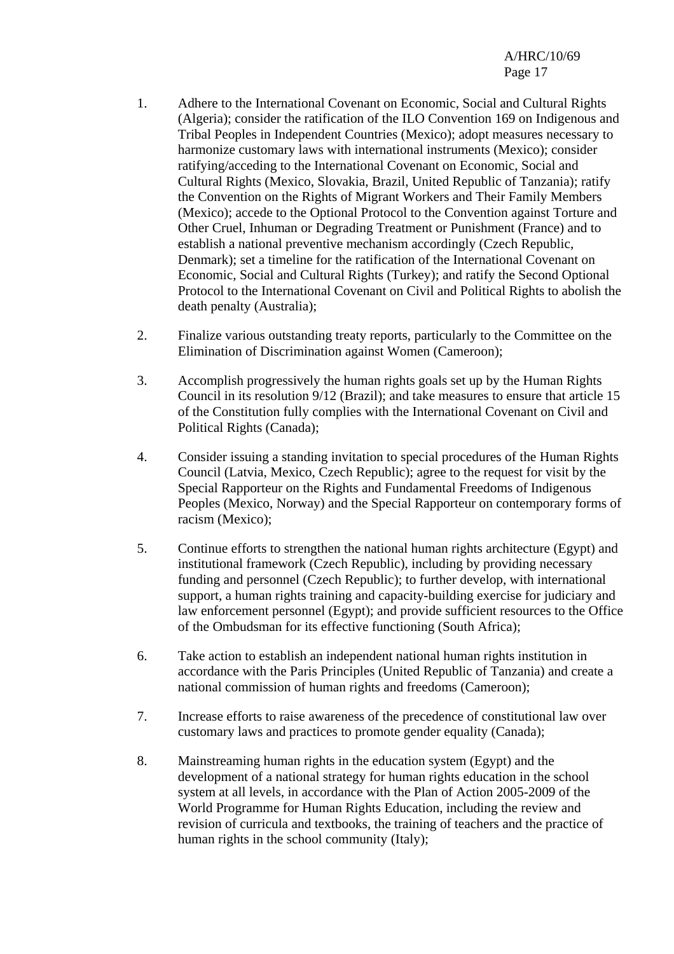- 1. Adhere to the International Covenant on Economic, Social and Cultural Rights (Algeria); consider the ratification of the ILO Convention 169 on Indigenous and Tribal Peoples in Independent Countries (Mexico); adopt measures necessary to harmonize customary laws with international instruments (Mexico); consider ratifying/acceding to the International Covenant on Economic, Social and Cultural Rights (Mexico, Slovakia, Brazil, United Republic of Tanzania); ratify the Convention on the Rights of Migrant Workers and Their Family Members (Mexico); accede to the Optional Protocol to the Convention against Torture and Other Cruel, Inhuman or Degrading Treatment or Punishment (France) and to establish a national preventive mechanism accordingly (Czech Republic, Denmark); set a timeline for the ratification of the International Covenant on Economic, Social and Cultural Rights (Turkey); and ratify the Second Optional Protocol to the International Covenant on Civil and Political Rights to abolish the death penalty (Australia);
- 2. Finalize various outstanding treaty reports, particularly to the Committee on the Elimination of Discrimination against Women (Cameroon);
- 3. Accomplish progressively the human rights goals set up by the Human Rights Council in its resolution 9/12 (Brazil); and take measures to ensure that article 15 of the Constitution fully complies with the International Covenant on Civil and Political Rights (Canada);
- 4. Consider issuing a standing invitation to special procedures of the Human Rights Council (Latvia, Mexico, Czech Republic); agree to the request for visit by the Special Rapporteur on the Rights and Fundamental Freedoms of Indigenous Peoples (Mexico, Norway) and the Special Rapporteur on contemporary forms of racism (Mexico);
- 5. Continue efforts to strengthen the national human rights architecture (Egypt) and institutional framework (Czech Republic), including by providing necessary funding and personnel (Czech Republic); to further develop, with international support, a human rights training and capacity-building exercise for judiciary and law enforcement personnel (Egypt); and provide sufficient resources to the Office of the Ombudsman for its effective functioning (South Africa);
- 6. Take action to establish an independent national human rights institution in accordance with the Paris Principles (United Republic of Tanzania) and create a national commission of human rights and freedoms (Cameroon);
- 7. Increase efforts to raise awareness of the precedence of constitutional law over customary laws and practices to promote gender equality (Canada);
- 8. Mainstreaming human rights in the education system (Egypt) and the development of a national strategy for human rights education in the school system at all levels, in accordance with the Plan of Action 2005-2009 of the World Programme for Human Rights Education, including the review and revision of curricula and textbooks, the training of teachers and the practice of human rights in the school community (Italy);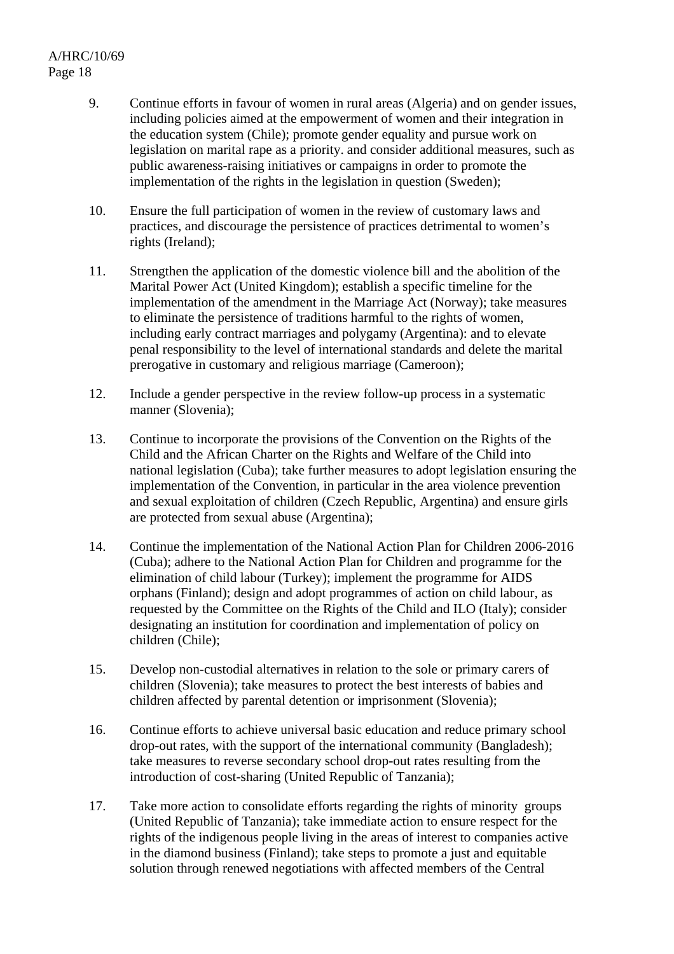- 9. Continue efforts in favour of women in rural areas (Algeria) and on gender issues, including policies aimed at the empowerment of women and their integration in the education system (Chile); promote gender equality and pursue work on legislation on marital rape as a priority. and consider additional measures, such as public awareness-raising initiatives or campaigns in order to promote the implementation of the rights in the legislation in question (Sweden);
- 10. Ensure the full participation of women in the review of customary laws and practices, and discourage the persistence of practices detrimental to women's rights (Ireland);
- 11. Strengthen the application of the domestic violence bill and the abolition of the Marital Power Act (United Kingdom); establish a specific timeline for the implementation of the amendment in the Marriage Act (Norway); take measures to eliminate the persistence of traditions harmful to the rights of women, including early contract marriages and polygamy (Argentina): and to elevate penal responsibility to the level of international standards and delete the marital prerogative in customary and religious marriage (Cameroon);
- 12. Include a gender perspective in the review follow-up process in a systematic manner (Slovenia);
- 13. Continue to incorporate the provisions of the Convention on the Rights of the Child and the African Charter on the Rights and Welfare of the Child into national legislation (Cuba); take further measures to adopt legislation ensuring the implementation of the Convention, in particular in the area violence prevention and sexual exploitation of children (Czech Republic, Argentina) and ensure girls are protected from sexual abuse (Argentina);
- 14. Continue the implementation of the National Action Plan for Children 2006-2016 (Cuba); adhere to the National Action Plan for Children and programme for the elimination of child labour (Turkey); implement the programme for AIDS orphans (Finland); design and adopt programmes of action on child labour, as requested by the Committee on the Rights of the Child and ILO (Italy); consider designating an institution for coordination and implementation of policy on children (Chile);
- 15. Develop non-custodial alternatives in relation to the sole or primary carers of children (Slovenia); take measures to protect the best interests of babies and children affected by parental detention or imprisonment (Slovenia);
- 16. Continue efforts to achieve universal basic education and reduce primary school drop-out rates, with the support of the international community (Bangladesh); take measures to reverse secondary school drop-out rates resulting from the introduction of cost-sharing (United Republic of Tanzania);
- 17. Take more action to consolidate efforts regarding the rights of minority groups (United Republic of Tanzania); take immediate action to ensure respect for the rights of the indigenous people living in the areas of interest to companies active in the diamond business (Finland); take steps to promote a just and equitable solution through renewed negotiations with affected members of the Central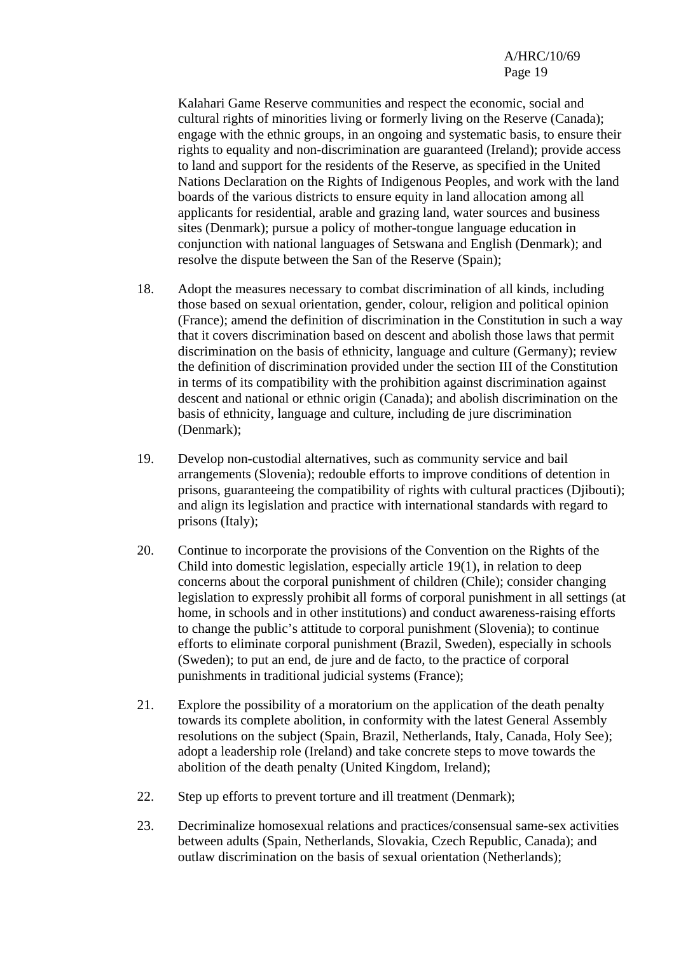Kalahari Game Reserve communities and respect the economic, social and cultural rights of minorities living or formerly living on the Reserve (Canada); engage with the ethnic groups, in an ongoing and systematic basis, to ensure their rights to equality and non-discrimination are guaranteed (Ireland); provide access to land and support for the residents of the Reserve, as specified in the United Nations Declaration on the Rights of Indigenous Peoples, and work with the land boards of the various districts to ensure equity in land allocation among all applicants for residential, arable and grazing land, water sources and business sites (Denmark); pursue a policy of mother-tongue language education in conjunction with national languages of Setswana and English (Denmark); and resolve the dispute between the San of the Reserve (Spain);

- 18. Adopt the measures necessary to combat discrimination of all kinds, including those based on sexual orientation, gender, colour, religion and political opinion (France); amend the definition of discrimination in the Constitution in such a way that it covers discrimination based on descent and abolish those laws that permit discrimination on the basis of ethnicity, language and culture (Germany); review the definition of discrimination provided under the section III of the Constitution in terms of its compatibility with the prohibition against discrimination against descent and national or ethnic origin (Canada); and abolish discrimination on the basis of ethnicity, language and culture, including de jure discrimination (Denmark);
- 19. Develop non-custodial alternatives, such as community service and bail arrangements (Slovenia); redouble efforts to improve conditions of detention in prisons, guaranteeing the compatibility of rights with cultural practices (Djibouti); and align its legislation and practice with international standards with regard to prisons (Italy);
- 20. Continue to incorporate the provisions of the Convention on the Rights of the Child into domestic legislation, especially article 19(1), in relation to deep concerns about the corporal punishment of children (Chile); consider changing legislation to expressly prohibit all forms of corporal punishment in all settings (at home, in schools and in other institutions) and conduct awareness-raising efforts to change the public's attitude to corporal punishment (Slovenia); to continue efforts to eliminate corporal punishment (Brazil, Sweden), especially in schools (Sweden); to put an end, de jure and de facto, to the practice of corporal punishments in traditional judicial systems (France);
- 21. Explore the possibility of a moratorium on the application of the death penalty towards its complete abolition, in conformity with the latest General Assembly resolutions on the subject (Spain, Brazil, Netherlands, Italy, Canada, Holy See); adopt a leadership role (Ireland) and take concrete steps to move towards the abolition of the death penalty (United Kingdom, Ireland);
- 22. Step up efforts to prevent torture and ill treatment (Denmark);
- 23. Decriminalize homosexual relations and practices/consensual same-sex activities between adults (Spain, Netherlands, Slovakia, Czech Republic, Canada); and outlaw discrimination on the basis of sexual orientation (Netherlands);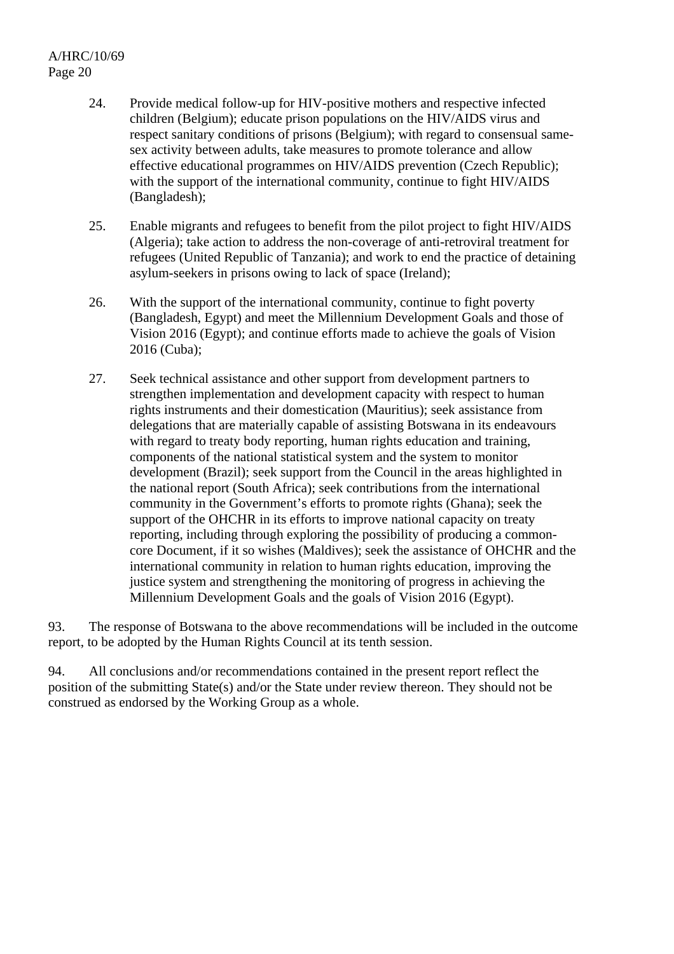- 24. Provide medical follow-up for HIV-positive mothers and respective infected children (Belgium); educate prison populations on the HIV/AIDS virus and respect sanitary conditions of prisons (Belgium); with regard to consensual samesex activity between adults, take measures to promote tolerance and allow effective educational programmes on HIV/AIDS prevention (Czech Republic); with the support of the international community, continue to fight HIV/AIDS (Bangladesh);
- 25. Enable migrants and refugees to benefit from the pilot project to fight HIV/AIDS (Algeria); take action to address the non-coverage of anti-retroviral treatment for refugees (United Republic of Tanzania); and work to end the practice of detaining asylum-seekers in prisons owing to lack of space (Ireland);
- 26. With the support of the international community, continue to fight poverty (Bangladesh, Egypt) and meet the Millennium Development Goals and those of Vision 2016 (Egypt); and continue efforts made to achieve the goals of Vision 2016 (Cuba);
- 27. Seek technical assistance and other support from development partners to strengthen implementation and development capacity with respect to human rights instruments and their domestication (Mauritius); seek assistance from delegations that are materially capable of assisting Botswana in its endeavours with regard to treaty body reporting, human rights education and training. components of the national statistical system and the system to monitor development (Brazil); seek support from the Council in the areas highlighted in the national report (South Africa); seek contributions from the international community in the Government's efforts to promote rights (Ghana); seek the support of the OHCHR in its efforts to improve national capacity on treaty reporting, including through exploring the possibility of producing a commoncore Document, if it so wishes (Maldives); seek the assistance of OHCHR and the international community in relation to human rights education, improving the justice system and strengthening the monitoring of progress in achieving the Millennium Development Goals and the goals of Vision 2016 (Egypt).

93. The response of Botswana to the above recommendations will be included in the outcome report, to be adopted by the Human Rights Council at its tenth session.

94. All conclusions and/or recommendations contained in the present report reflect the position of the submitting State(s) and/or the State under review thereon. They should not be construed as endorsed by the Working Group as a whole.